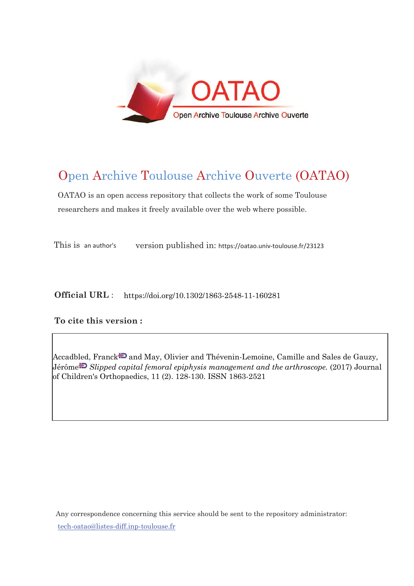

## Open Archive Toulouse Archive Ouverte (OATAO)

OATAO is an open access repository that collects the work of some Toulouse researchers and makes it freely available over the web where possible.

This is an author's version published in: https://oatao.univ-toulouse.fr/23123

**Official URL** : https://doi.org/10.1302/1863-2548-11-160281

## **To cite this version :**

Accadbled, Franck<sup>-</sup> and May, Olivier and Thévenin-Lemoine, Camille and Sales de Gauzy, Jérôm[e](http://www.idref.fr/050265466) *Slipped capital femoral epiphysis management and the arthroscope.* (2017) Journal of Children's Orthopaedics, 11 (2). 128-130. ISSN 1863-2521

Any correspondence concerning this service should be sent to the repository administrator: [tech-oatao@listes-diff.inp-toulouse.fr](mailto:tech-oatao@listes-diff.inp-toulouse.fr)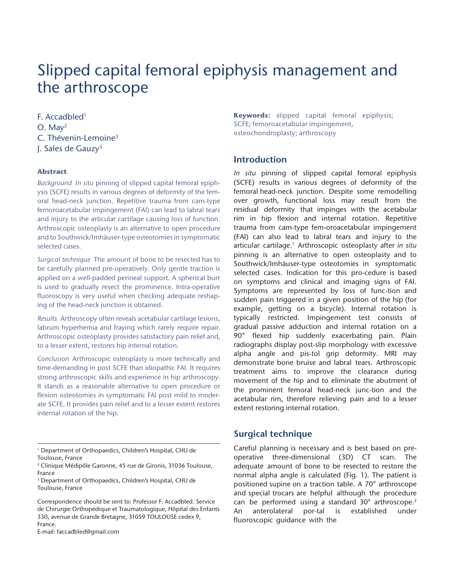# Slipped capital femoral epiphysis management and the arthroscope

F. Accadbled1 O. May2 C. Thévenin-Lemoine3 J. Sales de Gauzy3

## **Abstract**

*Background In situ* pinning of slipped capital femoral epiphysis (SCFE) results in various degrees of deformity of the femoral head-neck junction. Repetitive trauma from cam-type femoroacetabular impingement (FAI) can lead to labral tears and injury to the articular cartilage causing loss of function. Arthroscopic osteoplasty is an alternative to open procedure and to Southwick/Imhäuser-type osteotomies in symptomatic selected cases.

*Surgical technique* The amount of bone to be resected has to be carefully planned pre-operatively. Only gentle traction is applied on a well-padded perineal support. A spherical burr is used to gradually resect the prominence. Intra-operative fluoroscopy is very useful when checking adequate reshaping of the head-neck junction is obtained.

*Results* Arthroscopy often reveals acetabular cartilage lesions, labrum hyperhemia and fraying which rarely require repair. Arthroscopic osteoplasty provides satisfactory pain relief and, to a lesser extent, restores hip internal rotation.

*Conclusion* Arthroscopic osteoplasty is more technically and time-demanding in post SCFE than idiopathic FAI. It requires strong arthroscopic skills and experience in hip arthroscopy. It stands as a reasonable alternative to open procedure or flexion osteotomies in symptomatic FAI post mild to moderate SCFE. It provides pain relief and to a lesser extent restores internal rotation of the hip.

E-mail: faccadbled@gmail.com

**Keywords:** slipped capital femoral epiphysis; SCFE; femoroacetabular impingement, osteochondroplasty; arthroscopy

## **Introduction**

*In situ* pinning of slipped capital femoral epiphysis (SCFE) results in various degrees of deformity of the femoral head-neck junction. Despite some remodelling over growth, functional loss may result from the residual deformity that impinges with the acetabular rim in hip flexion and internal rotation. Repetitive trauma from cam-type fem-oroacetabular impingement (FAI) can also lead to labral tears and injury to the articular cartilage.<sup>1</sup> Arthroscopic osteoplasty after *in situ* pinning is an alternative to open osteoplasty and to Southwick/Imhäuser-type osteotomies in symptomatic selected cases. Indication for this pro-cedure is based on symptoms and clinical and imaging signs of FAI. Symptoms are represented by loss of func-tion and sudden pain triggered in a given position of the hip (for example, getting on a bicycle). Internal rotation is typically restricted. Impingement test consists of gradual passive adduction and internal rotation on a 90° flexed hip suddenly exacerbating pain. Plain radiographs display post-slip morphology with excessive alpha angle and pis-tol grip deformity. MRI may demonstrate bone bruise and labral tears. Arthroscopic treatment aims to improve the clearance during movement of the hip and to eliminate the abutment of the prominent femoral head-neck junc-tion and the acetabular rim, therefore relieving pain and to a lesser extent restoring internal rotation.

## **Surgical technique**

Careful planning is necessary and is best based on preoperative three-dimensional (3D) CT scan. The adequate amount of bone to be resected to restore the normal alpha angle is calculated (Fig. 1). The patient is positioned supine on a traction table. A 70° arthroscope and special trocars are helpful although the procedure can be performed using a standard 30° arthroscope.<sup>2</sup> An anterolateral por-tal is established under fluoroscopic guidance with the

<sup>1</sup> Department of Orthopaedics, Children's Hospital, CHU de Toulouse, France

<sup>2</sup> Clinique Médipôle Garonne, 45 rue de Gironis, 31036 Toulouse, France

<sup>3</sup> Department of Orthopaedics, Children's Hospital, CHU de Toulouse, France

Correspondence should be sent to: Professor F. Accadbled. Service de Chirurgie Orthopédique et Traumatologique, Hôpital des Enfants 330, avenue de Grande Bretagne, 31059 TOULOUSE cedex 9, France.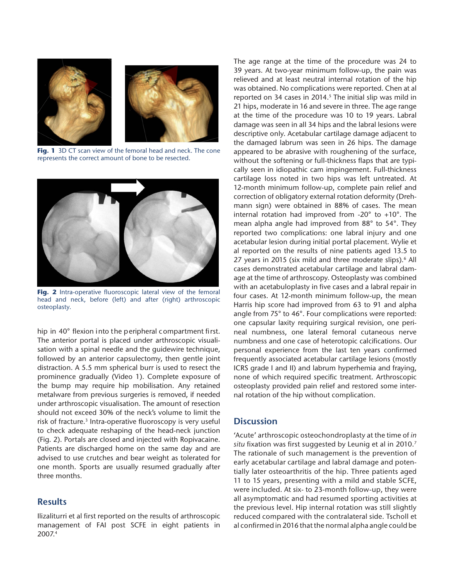

**Fig. 1** 3D CT scan view of the femoral head and neck. The cone represents the correct amount of bone to be resected.



**Fig. 2** Intra-operative fluoroscopic lateral view of the femoral head and neck, before (left) and after (right) arthroscopic osteoplasty.

hip in 40° flexion into the peripheral compartment first. The anterior portal is placed under arthroscopic visualisation with a spinal needle and the guidewire technique, followed by an anterior capsulectomy, then gentle joint distraction. A 5.5 mm spherical burr is used to resect the prominence gradually (Video 1). Complete exposure of the bump may require hip mobilisation. Any retained metalware from previous surgeries is removed, if needed under arthroscopic visualisation. The amount of resection should not exceed 30% of the neck's volume to limit the risk of fracture.<sup>3</sup> Intra-operative fluoroscopy is very useful to check adequate reshaping of the head-neck junction (Fig. 2). Portals are closed and injected with Ropivacaine. Patients are discharged home on the same day and are advised to use crutches and bear weight as tolerated for one month. Sports are usually resumed gradually after three months.

## **Results**

Ilizaliturri et al first reported on the results of arthroscopic management of FAI post SCFE in eight patients in 2007.4

The age range at the time of the procedure was 24 to 39 years. At two-year minimum follow-up, the pain was relieved and at least neutral internal rotation of the hip was obtained. No complications were reported. Chen at al reported on 34 cases in 2014.<sup>5</sup> The initial slip was mild in 21 hips, moderate in 16 and severe in three. The age range at the time of the procedure was 10 to 19 years. Labral damage was seen in all 34 hips and the labral lesions were descriptive only. Acetabular cartilage damage adjacent to the damaged labrum was seen in 26 hips. The damage appeared to be abrasive with roughening of the surface, without the softening or full-thickness flaps that are typically seen in idiopathic cam impingement. Full-thickness cartilage loss noted in two hips was left untreated. At 12-month minimum follow-up, complete pain relief and correction of obligatory external rotation deformity (Drehmann sign) were obtained in 88% of cases. The mean internal rotation had improved from -20° to +10°. The mean alpha angle had improved from 88° to 54°. They reported two complications: one labral injury and one acetabular lesion during initial portal placement. Wylie et al reported on the results of nine patients aged 13.5 to 27 years in 2015 (six mild and three moderate slips).<sup>6</sup> All cases demonstrated acetabular cartilage and labral damage at the time of arthroscopy. Osteoplasty was combined with an acetabuloplasty in five cases and a labral repair in four cases. At 12-month minimum follow-up, the mean Harris hip score had improved from 63 to 91 and alpha angle from 75° to 46°. Four complications were reported: one capsular laxity requiring surgical revision, one perineal numbness, one lateral femoral cutaneous nerve numbness and one case of heterotopic calcifications. Our personal experience from the last ten years confirmed frequently associated acetabular cartilage lesions (mostly ICRS grade I and II) and labrum hyperhemia and fraying, none of which required specific treatment. Arthroscopic osteoplasty provided pain relief and restored some internal rotation of the hip without complication.

## **Discussion**

'Acute' arthroscopic osteochondroplasty at the time of *in situ* fixation was first suggested by Leunig et al in 2010.7 The rationale of such management is the prevention of early acetabular cartilage and labral damage and potentially later osteoarthritis of the hip. Three patients aged 11 to 15 years, presenting with a mild and stable SCFE, were included. At six- to 23-month follow-up, they were all asymptomatic and had resumed sporting activities at the previous level. Hip internal rotation was still slightly reduced compared with the contralateral side. Tscholl et al confirmed in 2016 that the normal alpha angle could be